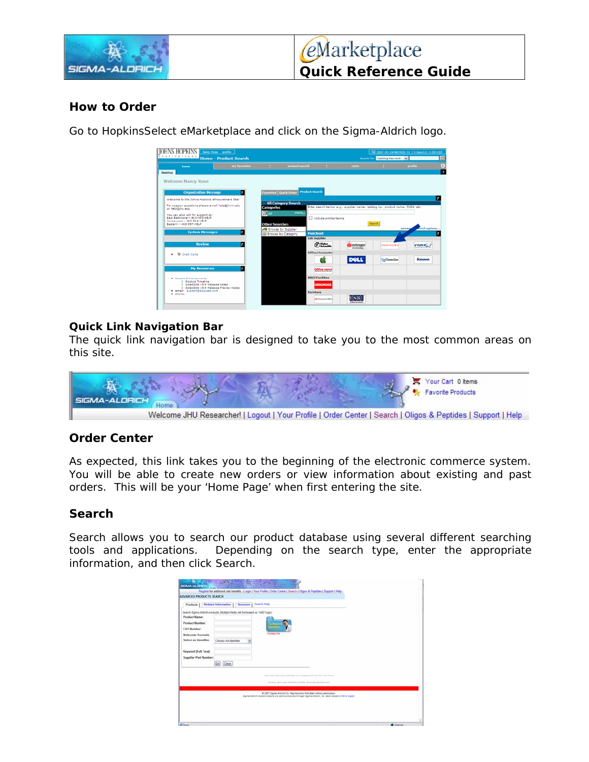

## **How to Order**

Go to HopkinsSelect eMarketplace and click on the Sigma-Aldrich logo.

| TOHNS HOPKI                                                              | <b>Nancy Rose</b> profile    |                                        |                       |                           |                                                                                | TH 2007-01-24 NROSE1 01   0 Rem(s), 0.00 USD |                        |
|--------------------------------------------------------------------------|------------------------------|----------------------------------------|-----------------------|---------------------------|--------------------------------------------------------------------------------|----------------------------------------------|------------------------|
| <b>IXSTITUTIONS</b>                                                      | <b>Home - Product Search</b> |                                        |                       |                           |                                                                                | Search for Catalog Keyword M                 |                        |
| home                                                                     | my favorites                 |                                        | product search        |                           | carts.                                                                         |                                              | profile                |
| desktop                                                                  |                              |                                        |                       |                           |                                                                                |                                              |                        |
| <b>Welcome Nancy Rose</b>                                                |                              |                                        |                       |                           |                                                                                |                                              |                        |
|                                                                          |                              |                                        |                       |                           |                                                                                |                                              |                        |
| <b>Organization Message</b>                                              | z                            | <b>Quick Order</b><br><b>Favorites</b> | <b>Product Search</b> |                           |                                                                                |                                              |                        |
| Welcome to the Johns Hopkins eProcurement Site!                          |                              |                                        |                       |                           |                                                                                |                                              |                        |
| For support questions please email help@jhmi.edu                         |                              | <b>All Category Search</b>             |                       |                           |                                                                                |                                              |                        |
| or helptishu.edu                                                         |                              | <b>Categories</b>                      |                       |                           | Enter search terms, e.g., supplier name, catalog no., product name, CAS#, etc. |                                              |                        |
| You can also call for support at:<br>East Baltimore - 410-955-HELP       |                              | $\bigcirc$ All                         | more                  | 16dude similar terms      |                                                                                |                                              |                        |
| Homewood - 410-516-HELP<br>Eastern - 443-997-HELP                        |                              | <b>Other Searches</b>                  |                       |                           |                                                                                | Search                                       |                        |
|                                                                          |                              | # Browse by Supplier                   |                       |                           |                                                                                |                                              | arch options<br>advani |
| <b>System Messages</b>                                                   | ×                            | <b>III Browse by Category</b>          | Punchout              |                           |                                                                                |                                              |                        |
|                                                                          |                              |                                        | <b>Lab Supplies</b>   |                           |                                                                                |                                              |                        |
| <b>Review</b>                                                            | z                            |                                        |                       | $\circledR$ interaction.  | O Invitrogen                                                                   | <b>CICINAL-ALCOHOL</b>                       | <b>YWREC</b>           |
| <b>N</b> Draft Carts<br>٠                                                |                              |                                        |                       | Office/Computer           |                                                                                |                                              |                        |
|                                                                          |                              |                                        |                       |                           | <b>DOLL</b>                                                                    | GesConnection                                | lenovo                 |
| <b>My Resources</b>                                                      | 7                            |                                        |                       |                           |                                                                                |                                              |                        |
|                                                                          |                              |                                        |                       | Office parot              |                                                                                |                                              |                        |
| · Recent Enhancements                                                    |                              |                                        | <b>MRO/Facilities</b> |                           |                                                                                |                                              |                        |
| 0 Product Timeline<br>O SelectSite v5.4 Release Notes                    |                              |                                        |                       | <b>GRAINGER</b>           |                                                                                |                                              |                        |
| 0 SelectSite v5.4 Release Preview Notes<br>· email- support@sciquest.com |                              |                                        | Furniture             |                           |                                                                                |                                              |                        |
| · phone:                                                                 |                              |                                        |                       | <b>AB American Office</b> |                                                                                |                                              |                        |
|                                                                          |                              |                                        |                       |                           |                                                                                |                                              |                        |

### **Quick Link Navigation Bar**

The quick link navigation bar is designed to take you to the most common areas on this site.



## **Order Center**

As expected, this link takes you to the beginning of the electronic commerce system. You will be able to create new orders or view information about existing and past orders. This will be your 'Home Page' when first entering the site.

## **Search**

Search allows you to search our product database using several different searching tools and applications. Depending on the search type, enter the appropriate information, and then click Search.

| <b>Product Name:</b><br><b>Product Number:</b><br><b>CAS Number:</b> | Search Sigma-Aldrich products. (Multiple fields will be treated as "AND" logic). | <b>COMPANY</b> |                                                                        |  |
|----------------------------------------------------------------------|----------------------------------------------------------------------------------|----------------|------------------------------------------------------------------------|--|
| <b>Molecular Formula:</b><br>Select an identifier:                   | Choose An Identifier                                                             | Contact lis    |                                                                        |  |
| Keyword (Full Text):<br>Supplier Part Number:                        |                                                                                  |                |                                                                        |  |
|                                                                      | Clear<br>Gol                                                                     |                |                                                                        |  |
|                                                                      |                                                                                  |                | line of the web and small-day your appearance of the Site Line Terries |  |
|                                                                      |                                                                                  |                | prints I large and seventees of arts ( Business Development)           |  |
|                                                                      |                                                                                  |                | @ 2007 Sigma-Aldrich Co. Reproduction forbitteen without permission.   |  |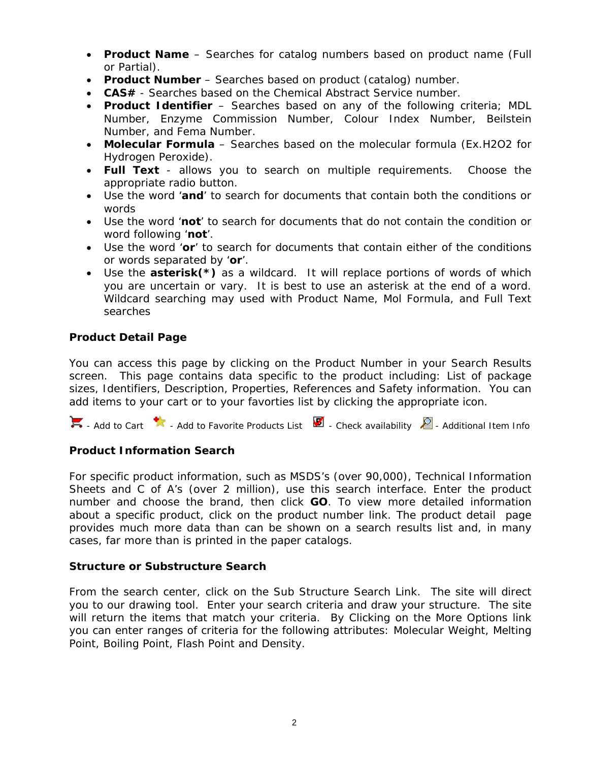- **Product Name** Searches for catalog numbers based on product name (Full or Partial).
- **Product Number** Searches based on product (catalog) number.
- **CAS#** Searches based on the Chemical Abstract Service number.
- **Product Identifier**  Searches based on any of the following criteria; MDL Number, Enzyme Commission Number, Colour Index Number, Beilstein Number, and Fema Number.
- **Molecular Formula** Searches based on the molecular formula (Ex.H2O2 for Hydrogen Peroxide).
- **Full Text**  allows you to search on multiple requirements. Choose the appropriate radio button.
- Use the word '**and**' to search for documents that contain both the conditions or words
- Use the word '**not**' to search for documents that do not contain the condition or word following '**not**'.
- Use the word '**or**' to search for documents that contain either of the conditions or words separated by '**or**'.
- Use the **asterisk(\*)** as a wildcard. It will replace portions of words of which you are uncertain or vary. It is best to use an asterisk at the end of a word. Wildcard searching may used with Product Name, Mol Formula, and Full Text searches

### **Product Detail Page**

You can access this page by clicking on the Product Number in your Search Results screen. This page contains data specific to the product including: List of package sizes, Identifiers, Description, Properties, References and Safety information. You can add items to your cart or to your favorties list by clicking the appropriate icon.

 $\blacksquare$  - Add to Cart  $\blacksquare$  - Add to Favorite Products List  $\blacksquare$  - Check availability  $\blacksquare$  - Additional Item Info

## **Product Information Search**

For specific product information, such as MSDS's (over 90,000), Technical Information Sheets and C of A's (over 2 million), use this search interface. Enter the product number and choose the brand, then click **GO**. To view more detailed information about a specific product, click on the product number link. The product detail page provides much more data than can be shown on a search results list and, in many cases, far more than is printed in the paper catalogs.

#### **Structure or Substructure Search**

From the search center, click on the Sub Structure Search Link. The site will direct you to our drawing tool. Enter your search criteria and draw your structure. The site will return the items that match your criteria. By Clicking on the More Options link you can enter ranges of criteria for the following attributes: Molecular Weight, Melting Point, Boiling Point, Flash Point and Density.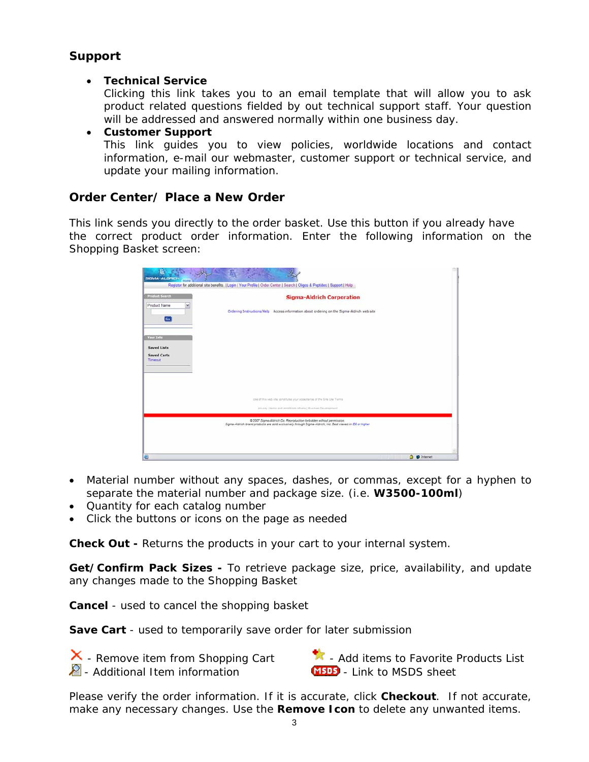# **Support**

## • **Technical Service**

Clicking this link takes you to an email template that will allow you to ask product related questions fielded by out technical support staff. Your question will be addressed and answered normally within one business day.

• **Customer Support** This link guides you to view policies, worldwide locations and contact information, e-mail our webmaster, customer support or technical service, and update your mailing information.

# **Order Center/ Place a New Order**

This link sends you directly to the order basket. Use this button if you already have the correct product order information. Enter the following information on the Shopping Basket screen:

| SIGMA-ALORICH                 | Register for additional site benefits.   Login   Your Profile   Order Center   Search   Oligos & Peptides   Support   Help |                            |
|-------------------------------|----------------------------------------------------------------------------------------------------------------------------|----------------------------|
| <b>Product Search</b>         | <b>Sigma-Aldrich Corporation</b>                                                                                           |                            |
| Product Name<br>ų             |                                                                                                                            |                            |
| Go                            | Ordering Instructions/Help Access information about ordering on the Sigma-Aldrich web site                                 |                            |
| <b>Vour Info</b>              |                                                                                                                            |                            |
| <b>Saved Lists</b>            |                                                                                                                            |                            |
| <b>Saved Carts</b><br>Timeout |                                                                                                                            |                            |
|                               |                                                                                                                            |                            |
|                               | Use of this web site ophatitutes your appearance of the Site Use Terms                                                     |                            |
|                               | privacy   terms and conditions of sale   Business Development                                                              |                            |
|                               | @ 2007 Sigma-Aldrich Co. Reproduction forbidden without permission.                                                        |                            |
|                               | Sigma-Aldrich brand products are sold exclusively through Sigma-Aldrich, Inc. Best viewed in IE6 or higher                 |                            |
|                               |                                                                                                                            |                            |
| a                             |                                                                                                                            | <b>9</b> <i>O</i> Internet |

- Material number without any spaces, dashes, or commas, except for a hyphen to separate the material number and package size. (i.e. **W3500-100ml**)
- Quantity for each catalog number
- Click the buttons or icons on the page as needed

**Check Out -** Returns the products in your cart to your internal system.

**Get/Confirm Pack Sizes -** To retrieve package size, price, availability, and update any changes made to the Shopping Basket

**Cancel** - used to cancel the shopping basket

**Save Cart** - used to temporarily save order for later submission

 $\overline{\mathsf{X}}$  - Remove item from Shopping Cart  $\overline{\mathsf{X}}$  - Add items to Favorite Products List  $\triangle$  - Additional Item information  $\Box$   $\Box$  Link to MSDS sheet

Please verify the order information. If it is accurate, click **Checkout**. If not accurate, make any necessary changes. Use the **Remove Icon** to delete any unwanted items.